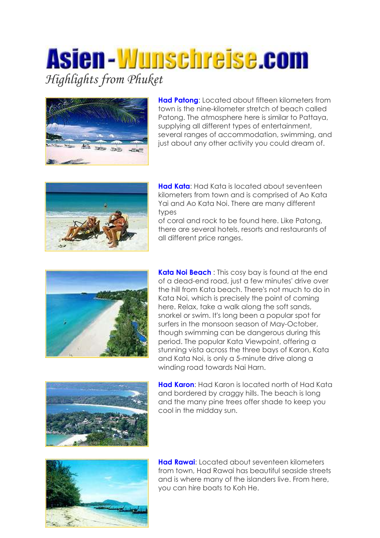## Asien-Wunschreise.com *Highlights from Phuket*



**Had Patong**: Located about fifteen kilometers from town is the nine-kilometer stretch of beach called Patong. The atmosphere here is similar to Pattaya, supplying all different types of entertainment, several ranges of accommodation, swimming, and just about any other activity you could dream of.



**Had Kata**: Had Kata is located about seventeen kilometers from town and is comprised of Ao Kata Yai and Ao Kata Noi. There are many different types

of coral and rock to be found here. Like Patong, there are several hotels, resorts and restaurants of all different price ranges.



**Kata Noi Beach** : This cosy bay is found at the end of a dead-end road, just a few minutes' drive over the hill from Kata beach. There's not much to do in Kata Noi, which is precisely the point of coming here. Relax, take a walk along the soft sands, snorkel or swim. It's long been a popular spot for surfers in the monsoon season of May-October, though swimming can be dangerous during this period. The popular Kata Viewpoint, offering a stunning vista across the three bays of Karon, Kata and Kata Noi, is only a 5-minute drive along a winding road towards Nai Harn.



**Had Karon**: Had Karon is located north of Had Kata and bordered by craggy hills. The beach is long and the many pine trees offer shade to keep you cool in the midday sun.



**Had Rawai**: Located about seventeen kilometers from town, Had Rawai has beautiful seaside streets and is where many of the islanders live. From here, you can hire boats to Koh He.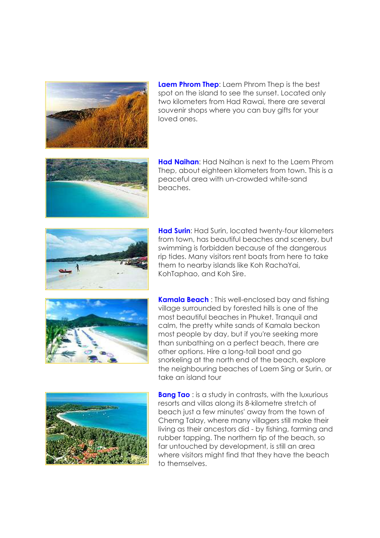

**Laem Phrom Thep**: Laem Phrom Thep is the best spot on the island to see the sunset. Located only two kilometers from Had Rawai, there are several souvenir shops where you can buy gifts for your loved ones.



**Had Naihan**: Had Naihan is next to the Laem Phrom Thep, about eighteen kilometers from town. This is a peaceful area with un-crowded white-sand beaches.



**Had Surin**: Had Surin, located twenty-four kilometers from town, has beautiful beaches and scenery, but swimming is forbidden because of the dangerous rip tides. Many visitors rent boats from here to take them to nearby islands like Koh RachaYai, KohTaphao, and Koh Sire.



**Kamala Beach** : This well-enclosed bay and fishing village surrounded by forested hills is one of the most beautiful beaches in Phuket. Tranquil and calm, the pretty white sands of Kamala beckon most people by day, but if you're seeking more than sunbathing on a perfect beach, there are other options. Hire a long-tail boat and go snorkeling at the north end of the beach, explore the neighbouring beaches of Laem Sing or Surin, or take an island tour



**Bang Tao** : is a study in contrasts, with the luxurious resorts and villas along its 8-kilometre stretch of beach just a few minutes' away from the town of Cherng Talay, where many villagers still make their living as their ancestors did - by fishing, farming and rubber tapping. The northern tip of the beach, so far untouched by development, is still an area where visitors might find that they have the beach to themselves.